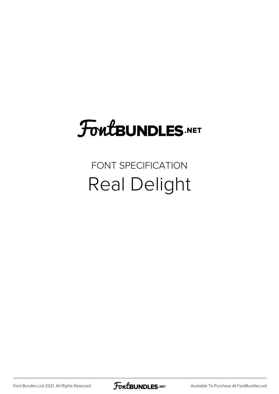# FoutBUNDLES.NET

### FONT SPECIFICATION Real Delight

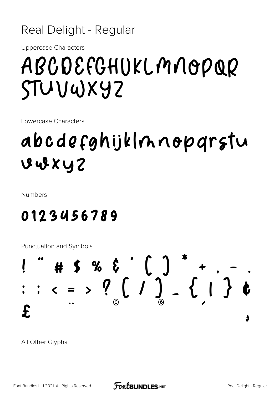### Real Delight - Regular

**Uppercase Characters** 

# ABCDEFGHUKLMNOPQR STUVWXYZ

Lowercase Characters

## abcdefghijklnnopgrstu VUXYZ

**Numbers** 

### 0123456789

**Punctuation and Symbols** 



All Other Glyphs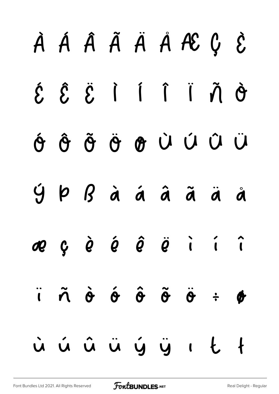# À Á Â Ã Ä Å Æ Ç È É Ê Ë Ì Í Î Ï Ñ Ò Ó Ô Õ Ö Ø Ù Ú Û Ü Ý Þ ß à á â ã ä å æ ç è é ê ë ì í î  $\ddot{ }$   $\ddot{ }$   $\ddot{ }$   $\ddot{ }$   $\ddot{ }$   $\ddot{ }$   $\ddot{ }$   $\ddot{ }$   $\ddot{ }$   $\ddot{ }$   $\ddot{ }$   $\ddot{ }$   $\ddot{ }$   $\ddot{ }$   $\ddot{ }$   $\ddot{ }$   $\ddot{ }$   $\ddot{ }$   $\ddot{ }$   $\ddot{ }$   $\ddot{ }$   $\ddot{ }$   $\ddot{ }$   $\ddot{ }$   $\ddot{ }$   $\ddot{ }$   $\ddot{ }$   $\ddot{$ ù ú û ü ý ÿ ı Ł ł